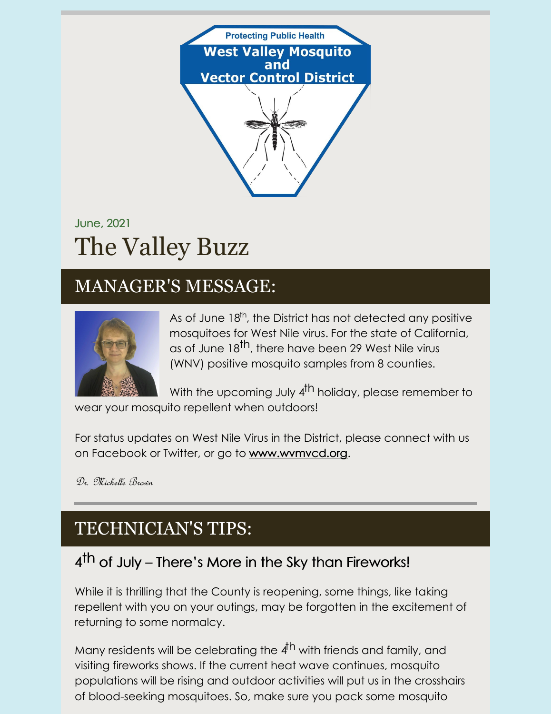

# June, 2021 The Valley Buzz

## MANAGER'S MESSAGE:



As of June 18<sup>th</sup>, the District has not detected any positive mosquitoes for West Nile virus. For the state of California, as of June 18<sup>th</sup>, there have been 29 West Nile virus (WNV) positive mosquito samples from 8 counties.

With the upcoming July 4<sup>th</sup> holiday, please remember to wear your mosquito repellent when outdoors!

For status updates on West Nile Virus in the District, please connect with us on Facebook or Twitter, or go to [www.wvmvcd.org](http://www.wvmvcd.org).

Dr. Michelle Brown

## TECHNICIAN'S TIPS:

### 4<sup>th</sup> of July – There's More in the Sky than Fireworks!

While it is thrilling that the County is reopening, some things, like taking repellent with you on your outings, may be forgotten in the excitement of returning to some normalcy.

Many residents will be celebrating the 4<sup>th</sup> with friends and family, and visiting fireworks shows. If the current heat wave continues, mosquito populations will be rising and outdoor activities will put us in the crosshairs of blood-seeking mosquitoes. So, make sure you pack some mosquito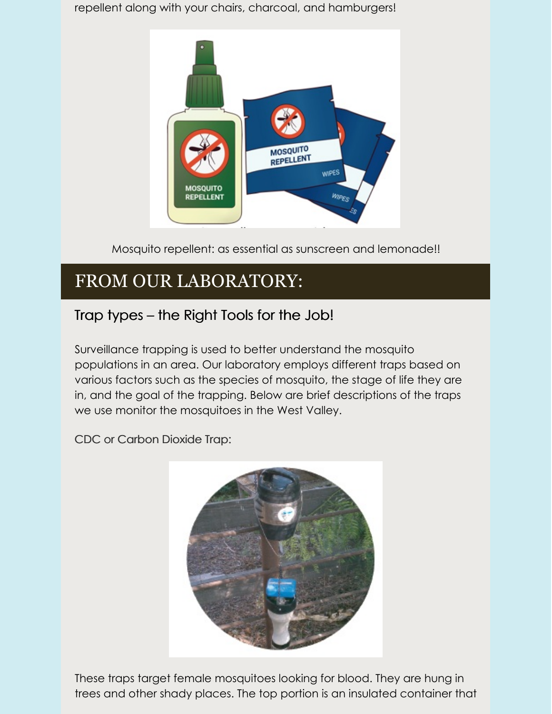repellent along with your chairs, charcoal, and hamburgers!



Mosquito repellent: as essential as sunscreen and lemonade!!

## FROM OUR LABORATORY:

### Trap types – the Right Tools for the Job!

Surveillance trapping is used to better understand the mosquito populations in an area. Our laboratory employs different traps based on various factors such as the species of mosquito, the stage of life they are in, and the goal of the trapping. Below are brief descriptions of the traps we use monitor the mosquitoes in the West Valley.

CDC or Carbon Dioxide Trap:



These traps target female mosquitoes looking for blood. They are hung in trees and other shady places. The top portion is an insulated container that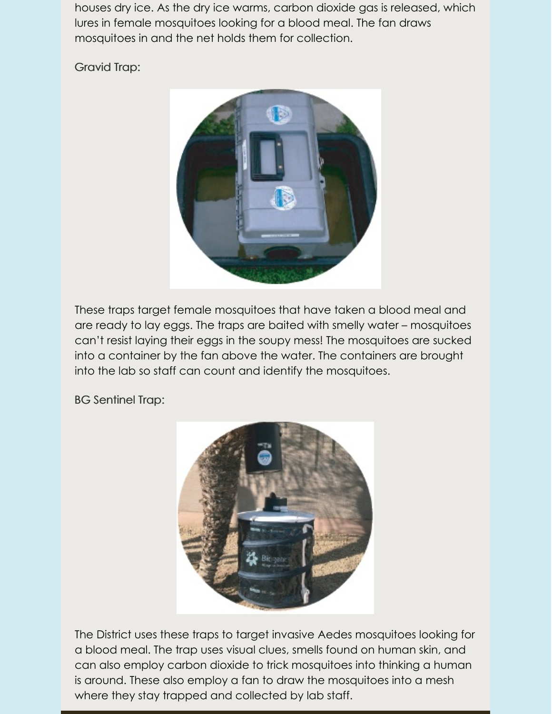houses dry ice. As the dry ice warms, carbon dioxide gas is released, which lures in female mosquitoes looking for a blood meal. The fan draws mosquitoes in and the net holds them for collection.

#### Gravid Trap:



These traps target female mosquitoes that have taken a blood meal and are ready to lay eggs. The traps are baited with smelly water – mosquitoes can't resist laying their eggs in the soupy mess! The mosquitoes are sucked into a container by the fan above the water. The containers are brought into the lab so staff can count and identify the mosquitoes.

BG Sentinel Trap:



The District uses these traps to target invasive Aedes mosquitoes looking for a blood meal. The trap uses visual clues, smells found on human skin, and can also employ carbon dioxide to trick mosquitoes into thinking a human is around. These also employ a fan to draw the mosquitoes into a mesh where they stay trapped and collected by lab staff.